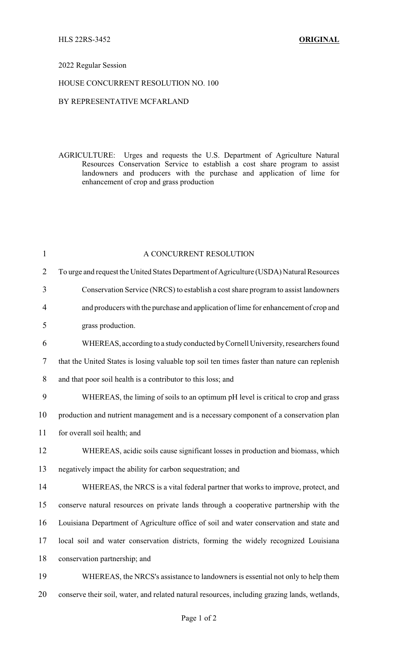### 2022 Regular Session

### HOUSE CONCURRENT RESOLUTION NO. 100

## BY REPRESENTATIVE MCFARLAND

AGRICULTURE: Urges and requests the U.S. Department of Agriculture Natural Resources Conservation Service to establish a cost share program to assist landowners and producers with the purchase and application of lime for enhancement of crop and grass production

| $\mathbf{1}$   | A CONCURRENT RESOLUTION                                                                       |
|----------------|-----------------------------------------------------------------------------------------------|
| $\overline{2}$ | To urge and request the United States Department of Agriculture (USDA) Natural Resources      |
| 3              | Conservation Service (NRCS) to establish a cost share program to assist landowners            |
| 4              | and producers with the purchase and application of lime for enhancement of crop and           |
| 5              | grass production.                                                                             |
| 6              | WHEREAS, according to a study conducted by Cornell University, researchers found              |
| 7              | that the United States is losing valuable top soil ten times faster than nature can replenish |
| 8              | and that poor soil health is a contributor to this loss; and                                  |
| 9              | WHEREAS, the liming of soils to an optimum pH level is critical to crop and grass             |
| 10             | production and nutrient management and is a necessary component of a conservation plan        |
| 11             | for overall soil health; and                                                                  |
| 12             | WHEREAS, acidic soils cause significant losses in production and biomass, which               |
| 13             | negatively impact the ability for carbon sequestration; and                                   |
| 14             | WHEREAS, the NRCS is a vital federal partner that works to improve, protect, and              |
| 15             | conserve natural resources on private lands through a cooperative partnership with the        |
| 16             | Louisiana Department of Agriculture office of soil and water conservation and state and       |
| 17             | local soil and water conservation districts, forming the widely recognized Louisiana          |
| 18             | conservation partnership; and                                                                 |
| 19             | WHEREAS, the NRCS's assistance to landowners is essential not only to help them               |
| 20             | conserve their soil, water, and related natural resources, including grazing lands, wetlands, |